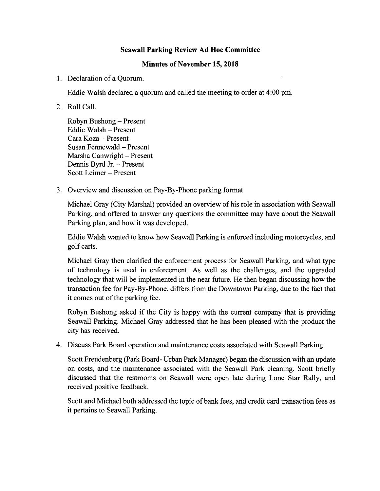## Seawall Parking Review Ad Hoc Committee

## Minutes of November 15, 2018

1. Declaration of a Quorum.

Eddie Walsh declared a quorum and called the meeting to order at 4:00 pm.

2. Roll Call.

Robyn Bushong — Present Eddie Walsh — Present Cara Koza — Present Susan Fennewald — Present Marsha Canwright — Present Dennis Byrd Jr. — Present Scott Leimer — Present

3. Overview and discussion on Pay -By -Phone parking format

Michael Gray (City Marshal) provided an overview of his role in association with Seawall Parking, and offered to answer any questions the committee may have about the Seawall Parking plan, and how it was developed.

Eddie Walsh wanted to know how Seawall Parking is enforced including motorcycles, and golf carts.

Michael Gray then clarified the enforcement process for Seawall Parking, and what type of technology is used in enforcement. As well as the challenges, and the upgraded technology that will be implemented in the near future. He then began discussing how the transaction fee for Pay -By -Phone, differs from the Downtown Parking, due to the fact that it comes out of the parking fee.

Robyn Bushong asked if the City is happy with the current company that is providing Seawall Parking. Michael Gray addressed that he has been pleased with the product the city has received.

4. Discuss Park Board operation and maintenance costs associated with Seawall Parking

Scott Freudenberg (Park Board- Urban Park Manager) began the discussion with an update on costs, and the maintenance associated with the Seawall Park cleaning. Scott briefly discussed that the restrooms on Seawall were open late during Lone Star Rally, and received positive feedback.

Scott and Michael both addressed the topic of bank fees, and credit card transaction fees as it pertains to Seawall Parking.